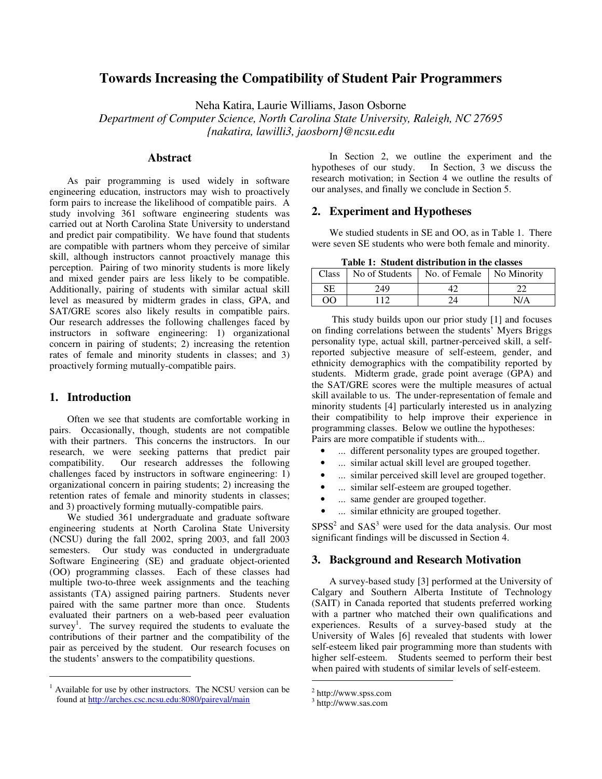# **Towards Increasing the Compatibility of Student Pair Programmers**

Neha Katira, Laurie Williams, Jason Osborne

*Department of Computer Science, North Carolina State University, Raleigh, NC 27695 {nakatira, lawilli3, jaosborn}@ncsu.edu*

# **Abstract**

As pair programming is used widely in software engineering education, instructors may wish to proactively form pairs to increase the likelihood of compatible pairs. A study involving 361 software engineering students was carried out at North Carolina State University to understand and predict pair compatibility. We have found that students are compatible with partners whom they perceive of similar skill, although instructors cannot proactively manage this perception. Pairing of two minority students is more likely and mixed gender pairs are less likely to be compatible. Additionally, pairing of students with similar actual skill level as measured by midterm grades in class, GPA, and SAT/GRE scores also likely results in compatible pairs. Our research addresses the following challenges faced by instructors in software engineering: 1) organizational concern in pairing of students; 2) increasing the retention rates of female and minority students in classes; and 3) proactively forming mutually-compatible pairs.

### **1. Introduction**

Often we see that students are comfortable working in pairs. Occasionally, though, students are not compatible with their partners. This concerns the instructors. In our research, we were seeking patterns that predict pair compatibility. Our research addresses the following challenges faced by instructors in software engineering: 1) organizational concern in pairing students; 2) increasing the retention rates of female and minority students in classes; and 3) proactively forming mutually-compatible pairs.

We studied 361 undergraduate and graduate software engineering students at North Carolina State University (NCSU) during the fall 2002, spring 2003, and fall 2003 semesters. Our study was conducted in undergraduate Software Engineering (SE) and graduate object-oriented (OO) programming classes. Each of these classes had multiple two-to-three week assignments and the teaching assistants (TA) assigned pairing partners. Students never paired with the same partner more than once. Students evaluated their partners on a web-based peer evaluation survey<sup>1</sup>. The survey required the students to evaluate the contributions of their partner and the compatibility of the pair as perceived by the student. Our research focuses on the students' answers to the compatibility questions.

In Section 2, we outline the experiment and the hypotheses of our study. In Section, 3 we discuss the research motivation; in Section 4 we outline the results of our analyses, and finally we conclude in Section 5.

#### **2. Experiment and Hypotheses**

We studied students in SE and OO, as in Table 1. There were seven SE students who were both female and minority.

**Table 1: Student distribution in the classes**

| <b>Class</b> | No of Students | No. of Female No Minority   |     |
|--------------|----------------|-----------------------------|-----|
| SЕ           | 249            |                             |     |
| OΟ           |                | $\mathcal{D}_{\mathcal{A}}$ | N/A |

This study builds upon our prior study [1] and focuses on finding correlations between the students' Myers Briggs personality type, actual skill, partner-perceived skill, a selfreported subjective measure of self-esteem, gender, and ethnicity demographics with the compatibility reported by students. Midterm grade, grade point average (GPA) and the SAT/GRE scores were the multiple measures of actual skill available to us. The under-representation of female and minority students [4] particularly interested us in analyzing their compatibility to help improve their experience in programming classes. Below we outline the hypotheses: Pairs are more compatible if students with...

- ... different personality types are grouped together.
- ... similar actual skill level are grouped together.
- ... similar perceived skill level are grouped together.
- ... similar self-esteem are grouped together.
- ... same gender are grouped together.
- ... similar ethnicity are grouped together.

 $SPSS<sup>2</sup>$  and  $SAS<sup>3</sup>$  were used for the data analysis. Our most significant findings will be discussed in Section 4.

# **3. Background and Research Motivation**

A survey-based study [3] performed at the University of Calgary and Southern Alberta Institute of Technology (SAIT) in Canada reported that students preferred working with a partner who matched their own qualifications and experiences. Results of a survey-based study at the University of Wales [6] revealed that students with lower self-esteem liked pair programming more than students with higher self-esteem. Students seemed to perform their best when paired with students of similar levels of self-esteem.

<sup>1</sup> Available for use by other instructors. The NCSU version can be found at http://arches.csc.ncsu.edu:8080/paireval/main

<sup>2</sup> http://www.spss.com

<sup>3</sup> http://www.sas.com